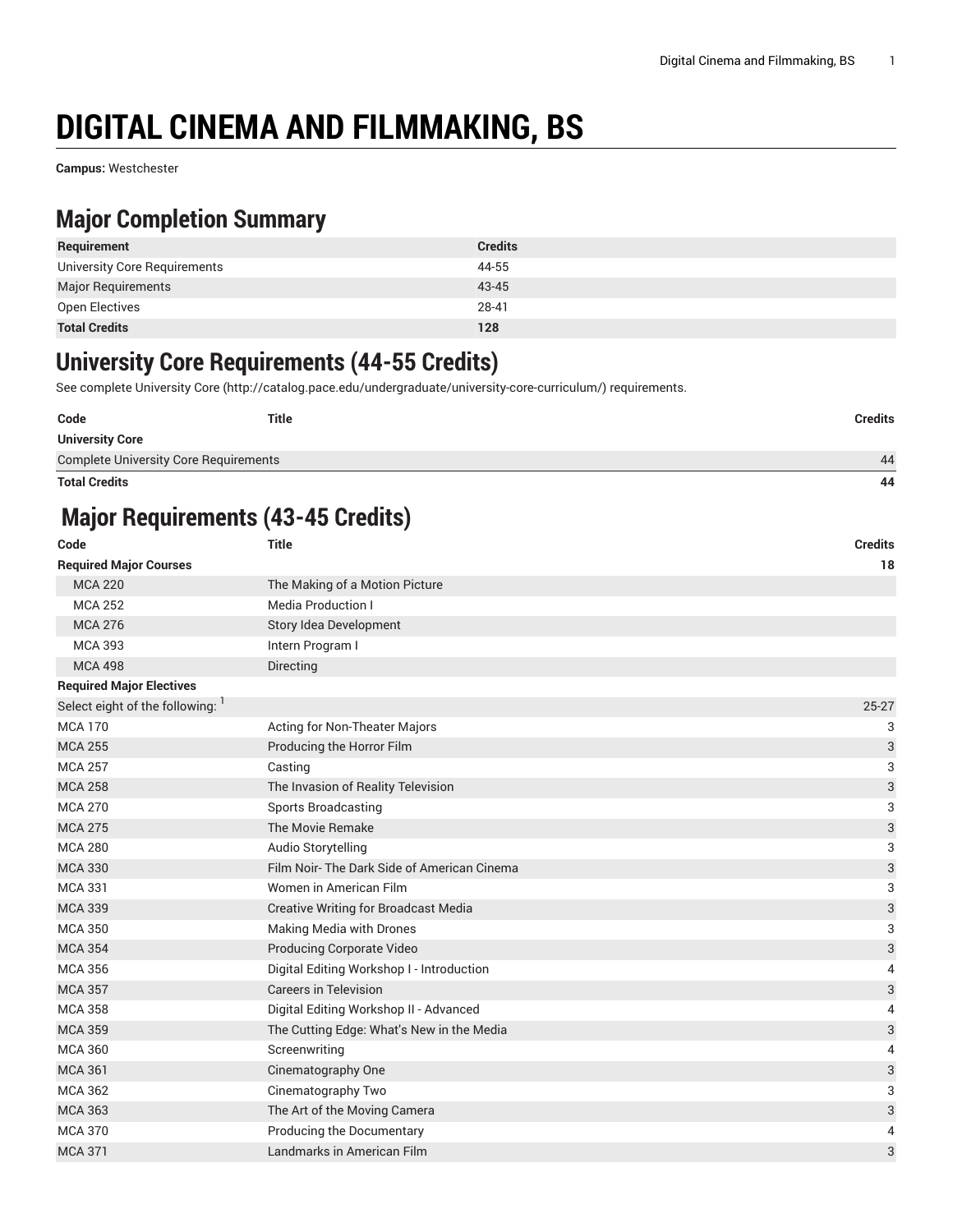# **DIGITAL CINEMA AND FILMMAKING, BS**

**Campus:** Westchester

#### **Major Completion Summary**

| Requirement                  | <b>Credits</b> |
|------------------------------|----------------|
| University Core Requirements | 44-55          |
| <b>Major Requirements</b>    | 43-45          |
| Open Electives               | 28-41          |
| <b>Total Credits</b>         | 128            |

#### **University Core Requirements (44-55 Credits)**

See complete [University](http://catalog.pace.edu/undergraduate/university-core-curriculum/) Core (<http://catalog.pace.edu/undergraduate/university-core-curriculum/>) requirements.

| Code                                         | Title | Credits |
|----------------------------------------------|-------|---------|
| <b>University Core</b>                       |       |         |
| <b>Complete University Core Requirements</b> |       | 44      |

**Total Credits 44**

### **Major Requirements (43-45 Credits)**

| Code                            | <b>Title</b>                                | <b>Credits</b>            |
|---------------------------------|---------------------------------------------|---------------------------|
| <b>Required Major Courses</b>   |                                             | 18                        |
| <b>MCA 220</b>                  | The Making of a Motion Picture              |                           |
| <b>MCA 252</b>                  | <b>Media Production I</b>                   |                           |
| <b>MCA 276</b>                  | Story Idea Development                      |                           |
| <b>MCA 393</b>                  | Intern Program I                            |                           |
| <b>MCA 498</b>                  | Directing                                   |                           |
| <b>Required Major Electives</b> |                                             |                           |
| Select eight of the following:  |                                             | $25 - 27$                 |
| <b>MCA 170</b>                  | Acting for Non-Theater Majors               | 3                         |
| <b>MCA 255</b>                  | Producing the Horror Film                   | 3                         |
| <b>MCA 257</b>                  | Casting                                     | 3                         |
| <b>MCA 258</b>                  | The Invasion of Reality Television          | $\ensuremath{\mathsf{3}}$ |
| <b>MCA 270</b>                  | <b>Sports Broadcasting</b>                  | 3                         |
| <b>MCA 275</b>                  | The Movie Remake                            | $\ensuremath{\mathsf{3}}$ |
| <b>MCA 280</b>                  | Audio Storytelling                          | 3                         |
| <b>MCA 330</b>                  | Film Noir-The Dark Side of American Cinema  | 3                         |
| <b>MCA 331</b>                  | Women in American Film                      | 3                         |
| <b>MCA 339</b>                  | <b>Creative Writing for Broadcast Media</b> | 3                         |
| <b>MCA 350</b>                  | Making Media with Drones                    | 3                         |
| <b>MCA 354</b>                  | Producing Corporate Video                   | $\ensuremath{\mathsf{3}}$ |
| <b>MCA 356</b>                  | Digital Editing Workshop I - Introduction   | 4                         |
| <b>MCA 357</b>                  | <b>Careers in Television</b>                | $\ensuremath{\mathsf{3}}$ |
| <b>MCA 358</b>                  | Digital Editing Workshop II - Advanced      | 4                         |
| <b>MCA 359</b>                  | The Cutting Edge: What's New in the Media   | $\ensuremath{\mathsf{3}}$ |
| <b>MCA 360</b>                  | Screenwriting                               | 4                         |
| <b>MCA 361</b>                  | Cinematography One                          | $\ensuremath{\mathsf{3}}$ |
| <b>MCA 362</b>                  | Cinematography Two                          | 3                         |
| <b>MCA 363</b>                  | The Art of the Moving Camera                | $\ensuremath{\mathsf{3}}$ |
| <b>MCA 370</b>                  | Producing the Documentary                   | $\overline{4}$            |
| <b>MCA 371</b>                  | Landmarks in American Film                  | 3                         |
|                                 |                                             |                           |